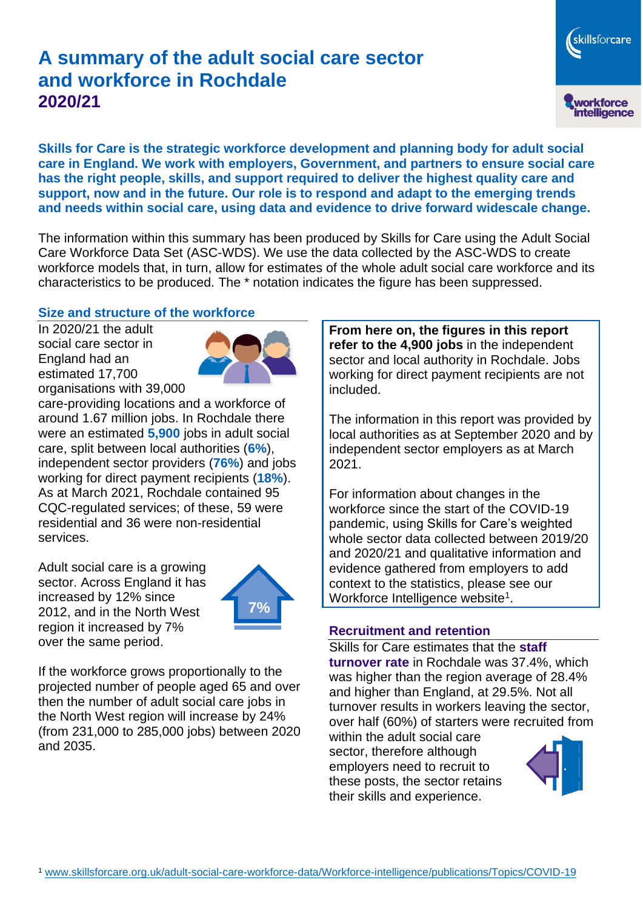# **A summary of the adult social care sector and workforce in Rochdale 2020/21**

workforce<br>intelligence **Skills for Care is the strategic workforce development and planning body for adult social** 

skillsforcare

**care in England. We work with employers, Government, and partners to ensure social care has the right people, skills, and support required to deliver the highest quality care and support, now and in the future. Our role is to respond and adapt to the emerging trends and needs within social care, using data and evidence to drive forward widescale change.**

The information within this summary has been produced by Skills for Care using the Adult Social Care Workforce Data Set (ASC-WDS). We use the data collected by the ASC-WDS to create workforce models that, in turn, allow for estimates of the whole adult social care workforce and its characteristics to be produced. The \* notation indicates the figure has been suppressed.

### **Size and structure of the workforce**

In 2020/21 the adult social care sector in England had an estimated 17,700 organisations with 39,000



care-providing locations and a workforce of around 1.67 million jobs. In Rochdale there were an estimated **5,900** jobs in adult social care, split between local authorities (**6%**), independent sector providers (**76%**) and jobs working for direct payment recipients (**18%**). As at March 2021, Rochdale contained 95 CQC-regulated services; of these, 59 were residential and 36 were non-residential services.

Adult social care is a growing sector. Across England it has increased by 12% since 2012, and in the North West region it increased by 7% over the same period.



If the workforce grows proportionally to the projected number of people aged 65 and over then the number of adult social care jobs in the North West region will increase by 24% (from 231,000 to 285,000 jobs) between 2020 and 2035.

**From here on, the figures in this report refer to the 4,900 jobs** in the independent sector and local authority in Rochdale. Jobs working for direct payment recipients are not included.

The information in this report was provided by local authorities as at September 2020 and by independent sector employers as at March 2021.

For information about changes in the workforce since the start of the COVID-19 pandemic, using Skills for Care's weighted whole sector data collected between 2019/20 and 2020/21 and qualitative information and evidence gathered from employers to add context to the statistics, please see our Workforce Intelligence website<sup>1</sup>.

#### **Recruitment and retention**

Skills for Care estimates that the **staff turnover rate** in Rochdale was 37.4%, which was higher than the region average of 28.4% and higher than England, at 29.5%. Not all turnover results in workers leaving the sector, over half (60%) of starters were recruited from

within the adult social care sector, therefore although employers need to recruit to these posts, the sector retains their skills and experience.

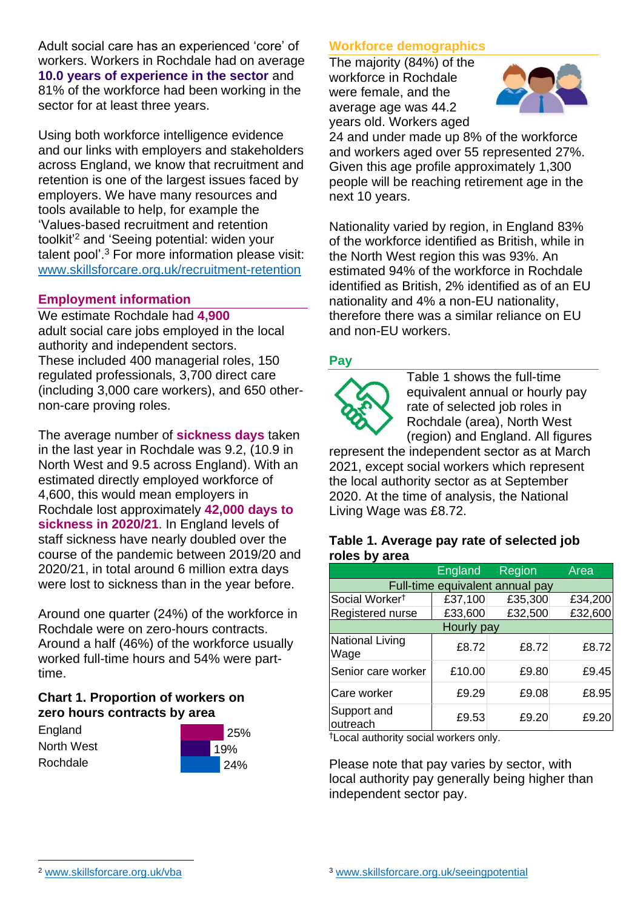Adult social care has an experienced 'core' of workers. Workers in Rochdale had on average **10.0 years of experience in the sector** and 81% of the workforce had been working in the sector for at least three years.

Using both workforce intelligence evidence and our links with employers and stakeholders across England, we know that recruitment and retention is one of the largest issues faced by employers. We have many resources and tools available to help, for example the 'Values-based recruitment and retention toolkit'<sup>2</sup> and 'Seeing potential: widen your talent pool'. <sup>3</sup> For more information please visit: [www.skillsforcare.org.uk/recruitment-retention](http://www.skillsforcare.org.uk/recruitment-retention)

### **Employment information**

We estimate Rochdale had **4,900** adult social care jobs employed in the local authority and independent sectors. These included 400 managerial roles, 150 regulated professionals, 3,700 direct care (including 3,000 care workers), and 650 othernon-care proving roles.

The average number of **sickness days** taken in the last year in Rochdale was 9.2, (10.9 in North West and 9.5 across England). With an estimated directly employed workforce of 4,600, this would mean employers in Rochdale lost approximately **42,000 days to sickness in 2020/21**. In England levels of staff sickness have nearly doubled over the course of the pandemic between 2019/20 and 2020/21, in total around 6 million extra days were lost to sickness than in the year before.

Around one quarter (24%) of the workforce in Rochdale were on zero-hours contracts. Around a half (46%) of the workforce usually worked full-time hours and 54% were parttime.

### **Chart 1. Proportion of workers on zero hours contracts by area**

**England** North West Rochdale



## **Workforce demographics**

The majority (84%) of the workforce in Rochdale were female, and the average age was 44.2 years old. Workers aged



24 and under made up 8% of the workforce and workers aged over 55 represented 27%. Given this age profile approximately 1,300 people will be reaching retirement age in the next 10 years.

Nationality varied by region, in England 83% of the workforce identified as British, while in the North West region this was 93%. An estimated 94% of the workforce in Rochdale identified as British, 2% identified as of an EU nationality and 4% a non-EU nationality, therefore there was a similar reliance on EU and non-EU workers.

### **Pay**



Table 1 shows the full-time equivalent annual or hourly pay rate of selected job roles in Rochdale (area), North West (region) and England. All figures

represent the independent sector as at March 2021, except social workers which represent the local authority sector as at September 2020. At the time of analysis, the National Living Wage was £8.72.

#### **Table 1. Average pay rate of selected job roles by area**

|                                 | <b>England</b> | Region  | Area    |
|---------------------------------|----------------|---------|---------|
| Full-time equivalent annual pay |                |         |         |
| Social Worker <sup>t</sup>      | £37,100        | £35,300 | £34,200 |
| Registered nurse                | £33,600        | £32,500 | £32,600 |
| Hourly pay                      |                |         |         |
| National Living<br>Wage         | £8.72          | £8.72   | £8.72   |
| Senior care worker              | £10.00         | £9.80   | £9.45   |
| Care worker                     | £9.29          | £9.08   | £8.95   |
| Support and<br>outreach         | £9.53          | £9.20   | £9.20   |

†Local authority social workers only.

Please note that pay varies by sector, with local authority pay generally being higher than independent sector pay.